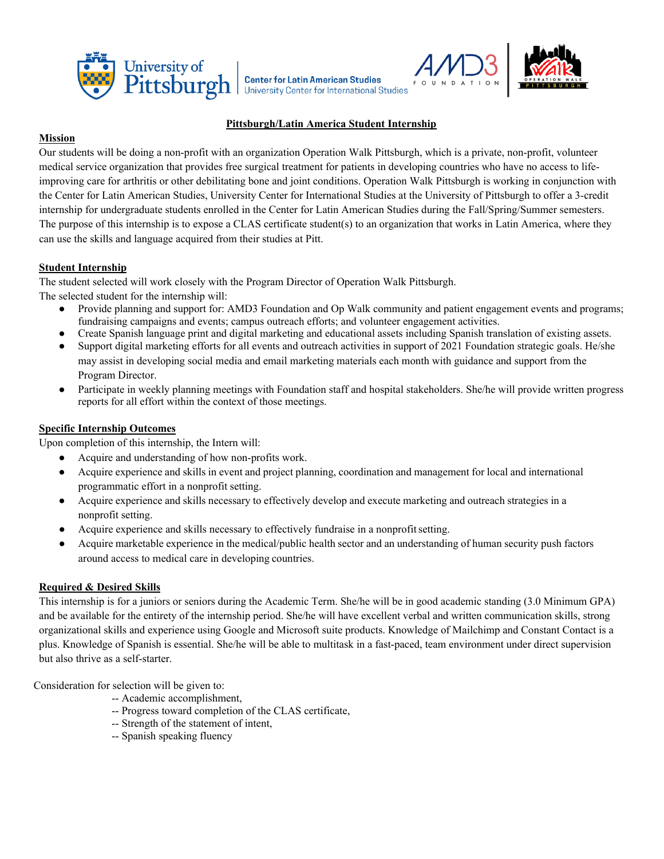





## **Pittsburgh/Latin America Student Internship**

### **Mission**

Our students will be doing a non-profit with an organization Operation Walk Pittsburgh, which is a private, non-profit, volunteer medical service organization that provides free surgical treatment for patients in developing countries who have no access to lifeimproving care for arthritis or other debilitating bone and joint conditions. Operation Walk Pittsburgh is working in conjunction with the Center for Latin American Studies, University Center for International Studies at the University of Pittsburgh to offer a 3-credit internship for undergraduate students enrolled in the Center for Latin American Studies during the Fall/Spring/Summer semesters. The purpose of this internship is to expose a CLAS certificate student(s) to an organization that works in Latin America, where they can use the skills and language acquired from their studies at Pitt.

### **Student Internship**

The student selected will work closely with the Program Director of Operation Walk Pittsburgh.

The selected student for the internship will:

- Provide planning and support for: AMD3 Foundation and Op Walk community and patient engagement events and programs; fundraising campaigns and events; campus outreach efforts; and volunteer engagement activities.
- Create Spanish language print and digital marketing and educational assets including Spanish translation of existing assets.
- Support digital marketing efforts for all events and outreach activities in support of 2021 Foundation strategic goals. He/she may assist in developing social media and email marketing materials each month with guidance and support from the Program Director.
- Participate in weekly planning meetings with Foundation staff and hospital stakeholders. She/he will provide written progress reports for all effort within the context of those meetings.

#### **Specific Internship Outcomes**

Upon completion of this internship, the Intern will:

- Acquire and understanding of how non-profits work.
- Acquire experience and skills in event and project planning, coordination and management for local and international programmatic effort in a nonprofit setting.
- Acquire experience and skills necessary to effectively develop and execute marketing and outreach strategies in a nonprofit setting.
- Acquire experience and skills necessary to effectively fundraise in a nonprofit setting.
- Acquire marketable experience in the medical/public health sector and an understanding of human security push factors around access to medical care in developing countries.

# **Required & Desired Skills**

This internship is for a juniors or seniors during the Academic Term. She/he will be in good academic standing (3.0 Minimum GPA) and be available for the entirety of the internship period. She/he will have excellent verbal and written communication skills, strong organizational skills and experience using Google and Microsoft suite products. Knowledge of Mailchimp and Constant Contact is a plus. Knowledge of Spanish is essential. She/he will be able to multitask in a fast-paced, team environment under direct supervision but also thrive as a self-starter.

Consideration for selection will be given to:

- -- Academic accomplishment,
- -- Progress toward completion of the CLAS certificate,
- -- Strength of the statement of intent,
- -- Spanish speaking fluency